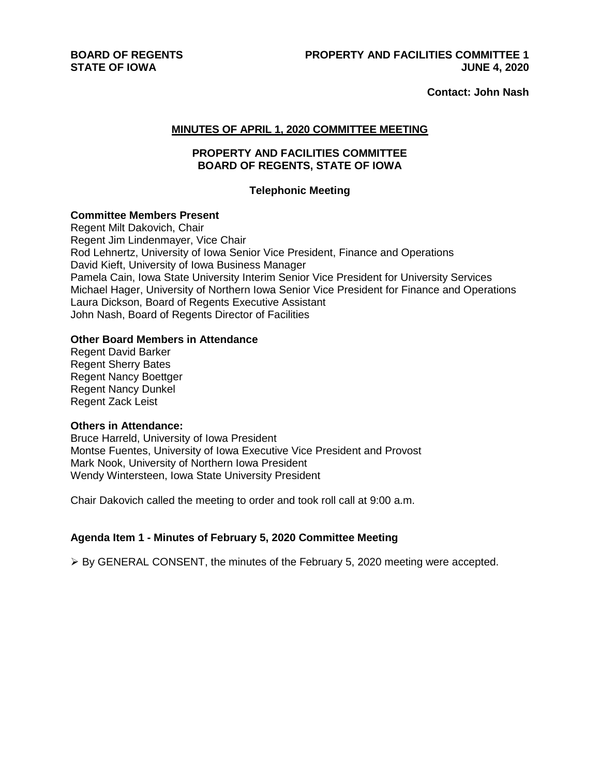**BOARD OF REGENTS STATE OF IOWA**

**Contact: John Nash** 

#### **MINUTES OF APRIL 1, 2020 COMMITTEE MEETING**

# **PROPERTY AND FACILITIES COMMITTEE BOARD OF REGENTS, STATE OF IOWA**

#### **Telephonic Meeting**

#### **Committee Members Present**

Regent Milt Dakovich, Chair Regent Jim Lindenmayer, Vice Chair Rod Lehnertz, University of Iowa Senior Vice President, Finance and Operations David Kieft, University of Iowa Business Manager Pamela Cain, Iowa State University Interim Senior Vice President for University Services Michael Hager, University of Northern Iowa Senior Vice President for Finance and Operations Laura Dickson, Board of Regents Executive Assistant John Nash, Board of Regents Director of Facilities

#### **Other Board Members in Attendance**

Regent David Barker Regent Sherry Bates Regent Nancy Boettger Regent Nancy Dunkel Regent Zack Leist

#### **Others in Attendance:**

Bruce Harreld, University of Iowa President Montse Fuentes, University of Iowa Executive Vice President and Provost Mark Nook, University of Northern Iowa President Wendy Wintersteen, Iowa State University President

Chair Dakovich called the meeting to order and took roll call at 9:00 a.m.

# **Agenda Item 1 - Minutes of February 5, 2020 Committee Meeting**

 $\triangleright$  By GENERAL CONSENT, the minutes of the February 5, 2020 meeting were accepted.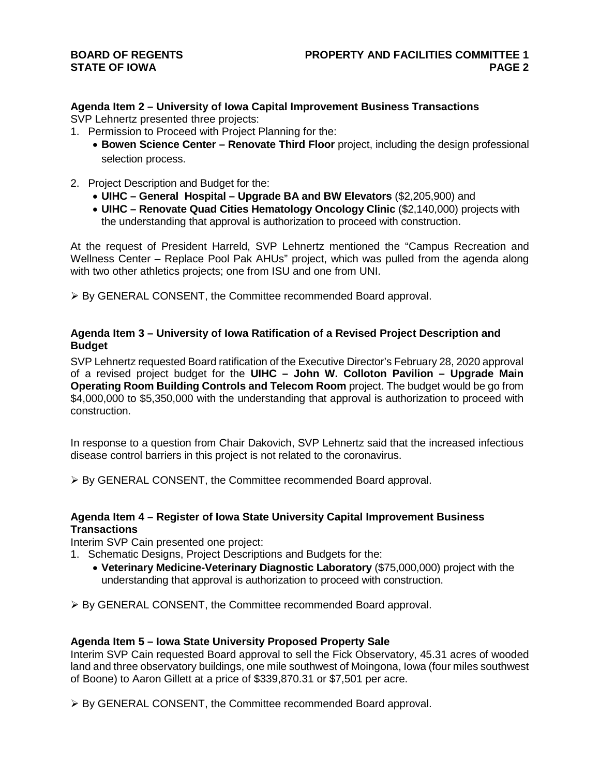## **BOARD OF REGENTS STATE OF IOWA**

# **Agenda Item 2 – University of Iowa Capital Improvement Business Transactions**

SVP Lehnertz presented three projects:

- 1. Permission to Proceed with Project Planning for the:
	- **Bowen Science Center – Renovate Third Floor** project, including the design professional selection process.
- 2. Project Description and Budget for the:
	- **UIHC – General Hospital – Upgrade BA and BW Elevators** (\$2,205,900) and
	- **UIHC – Renovate Quad Cities Hematology Oncology Clinic** (\$2,140,000) projects with the understanding that approval is authorization to proceed with construction.

At the request of President Harreld, SVP Lehnertz mentioned the "Campus Recreation and Wellness Center – Replace Pool Pak AHUs" project, which was pulled from the agenda along with two other athletics projects; one from ISU and one from UNI.

By GENERAL CONSENT, the Committee recommended Board approval.

# **Agenda Item 3 – University of Iowa Ratification of a Revised Project Description and Budget**

SVP Lehnertz requested Board ratification of the Executive Director's February 28, 2020 approval of a revised project budget for the **UIHC – John W. Colloton Pavilion – Upgrade Main Operating Room Building Controls and Telecom Room** project. The budget would be go from \$4,000,000 to \$5,350,000 with the understanding that approval is authorization to proceed with construction.

In response to a question from Chair Dakovich, SVP Lehnertz said that the increased infectious disease control barriers in this project is not related to the coronavirus.

By GENERAL CONSENT, the Committee recommended Board approval.

# **Agenda Item 4 – Register of Iowa State University Capital Improvement Business Transactions**

Interim SVP Cain presented one project:

- 1. Schematic Designs, Project Descriptions and Budgets for the:
	- **Veterinary Medicine-Veterinary Diagnostic Laboratory** (\$75,000,000) project with the understanding that approval is authorization to proceed with construction.

By GENERAL CONSENT, the Committee recommended Board approval.

# **Agenda Item 5 – Iowa State University Proposed Property Sale**

Interim SVP Cain requested Board approval to sell the Fick Observatory, 45.31 acres of wooded land and three observatory buildings, one mile southwest of Moingona, Iowa (four miles southwest of Boone) to Aaron Gillett at a price of \$339,870.31 or \$7,501 per acre.

▶ By GENERAL CONSENT, the Committee recommended Board approval.